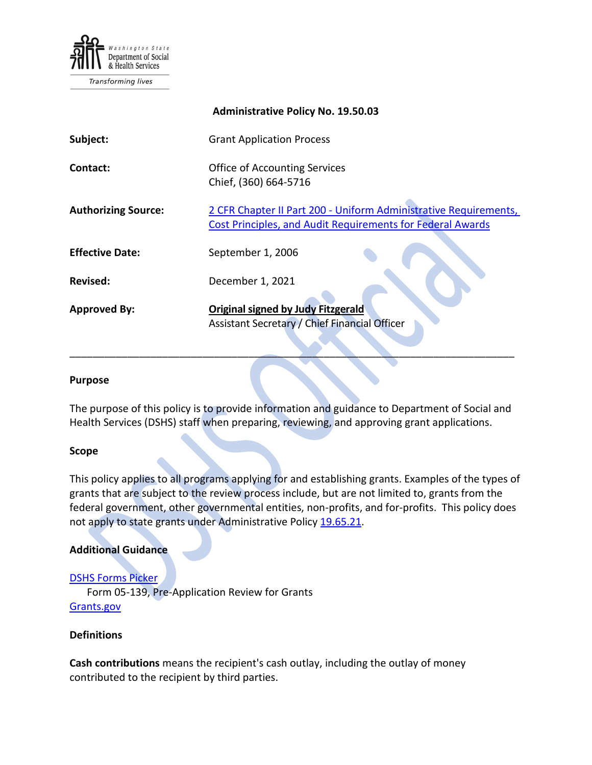

Transforming lives

|                            | <b>Administrative Policy No. 19.50.03</b>                                                                                             |
|----------------------------|---------------------------------------------------------------------------------------------------------------------------------------|
| Subject:                   | <b>Grant Application Process</b>                                                                                                      |
| Contact:                   | <b>Office of Accounting Services</b><br>Chief, (360) 664-5716                                                                         |
| <b>Authorizing Source:</b> | 2 CFR Chapter II Part 200 - Uniform Administrative Requirements,<br><b>Cost Principles, and Audit Requirements for Federal Awards</b> |
| <b>Effective Date:</b>     | September 1, 2006                                                                                                                     |
| Revised:                   | December 1, 2021                                                                                                                      |
| <b>Approved By:</b>        | <b>Original signed by Judy Fitzgerald</b><br>Assistant Secretary / Chief Financial Officer                                            |

#### **Purpose**

The purpose of this policy is to provide information and guidance to Department of Social and Health Services (DSHS) staff when preparing, reviewing, and approving grant applications.

\_\_\_\_\_\_\_\_\_\_\_\_\_\_\_\_\_\_\_\_\_\_\_\_\_\_\_\_\_\_\_\_\_\_\_\_\_\_\_\_\_\_\_\_\_\_\_\_\_\_\_\_\_\_\_\_\_\_\_\_\_\_\_\_\_\_\_\_\_\_\_\_\_\_\_\_\_

#### **Scope**

This policy applies to all programs applying for and establishing grants. Examples of the types of grants that are subject to the review process include, but are not limited to, grants from the federal government, other governmental entities, non-profits, and for-profits. This policy does not apply to state grants under Administrative Policy [19.65.21.](http://one.dshs.wa.lcl/Policies/Administrative/DSHS-AP-19-65-21.pdf)

#### **Additional Guidance**

#### [DSHS Forms Picker](http://forms.dshs.wa.lcl/)

Form 05-139, Pre-Application Review for Grants [Grants.gov](http://www.grants.gov/)

#### **Definitions**

**Cash contributions** means the recipient's cash outlay, including the outlay of money contributed to the recipient by third parties.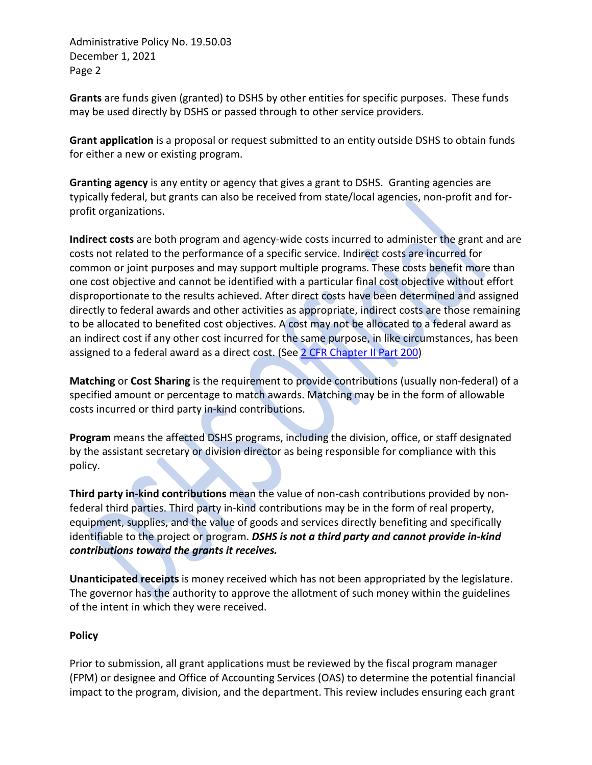**Grants** are funds given (granted) to DSHS by other entities for specific purposes. These funds may be used directly by DSHS or passed through to other service providers.

**Grant application** is a proposal or request submitted to an entity outside DSHS to obtain funds for either a new or existing program.

**Granting agency** is any entity or agency that gives a grant to DSHS. Granting agencies are typically federal, but grants can also be received from state/local agencies, non-profit and forprofit organizations.

**Indirect costs** are both program and agency-wide costs incurred to administer the grant and are costs not related to the performance of a specific service. Indirect costs are incurred for common or joint purposes and may support multiple programs. These costs benefit more than one cost objective and cannot be identified with a particular final cost objective without effort disproportionate to the results achieved. After direct costs have been determined and assigned directly to federal awards and other activities as appropriate, indirect costs are those remaining to be allocated to benefited cost objectives. A cost may not be allocated to a federal award as an indirect cost if any other cost incurred for the same purpose, in like circumstances, has been assigned to a federal award as a direct cost. (See [2 CFR Chapter II Part 200\)](http://www.gpo.gov/fdsys/pkg/FR-2013-12-26/pdf/2013-30465.pdf)

**Matching** or **Cost Sharing** is the requirement to provide contributions (usually non-federal) of a specified amount or percentage to match awards. Matching may be in the form of allowable costs incurred or third party in-kind contributions.

**Program** means the affected DSHS programs, including the division, office, or staff designated by the assistant secretary or division director as being responsible for compliance with this policy.

**Third party in-kind contributions** mean the value of non-cash contributions provided by nonfederal third parties. Third party in-kind contributions may be in the form of real property, equipment, supplies, and the value of goods and services directly benefiting and specifically identifiable to the project or program. *DSHS is not a third party and cannot provide in-kind contributions toward the grants it receives.*

**Unanticipated receipts** is money received which has not been appropriated by the legislature. The governor has the authority to approve the allotment of such money within the guidelines of the intent in which they were received.

# **Policy**

Prior to submission, all grant applications must be reviewed by the fiscal program manager (FPM) or designee and Office of Accounting Services (OAS) to determine the potential financial impact to the program, division, and the department. This review includes ensuring each grant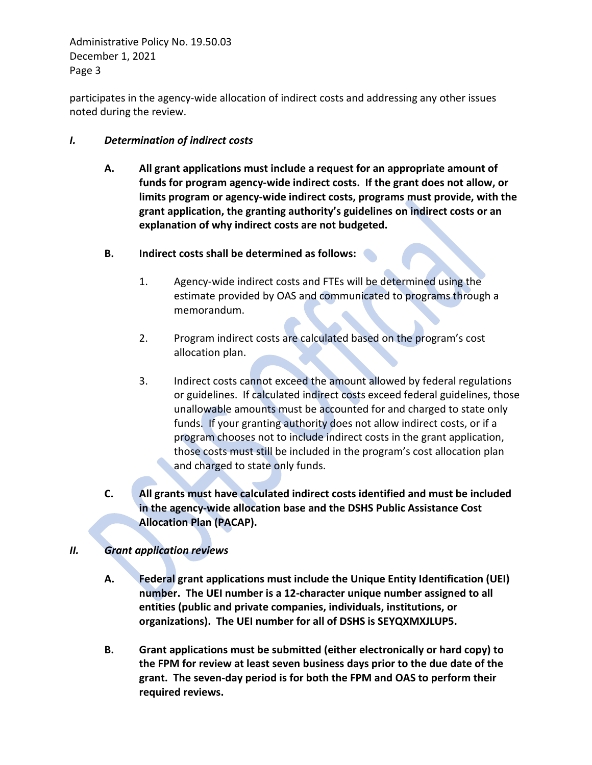participates in the agency-wide allocation of indirect costs and addressing any other issues noted during the review.

# *I. Determination of indirect costs*

- **A. All grant applications must include a request for an appropriate amount of funds for program agency-wide indirect costs. If the grant does not allow, or limits program or agency-wide indirect costs, programs must provide, with the grant application, the granting authority's guidelines on indirect costs or an explanation of why indirect costs are not budgeted.**
- **B. Indirect costs shall be determined as follows:**
	- 1. Agency-wide indirect costs and FTEs will be determined using the estimate provided by OAS and communicated to programs through a memorandum.
	- 2. Program indirect costs are calculated based on the program's cost allocation plan.
	- 3. Indirect costs cannot exceed the amount allowed by federal regulations or guidelines. If calculated indirect costs exceed federal guidelines, those unallowable amounts must be accounted for and charged to state only funds. If your granting authority does not allow indirect costs, or if a program chooses not to include indirect costs in the grant application, those costs must still be included in the program's cost allocation plan and charged to state only funds.
- **C. All grants must have calculated indirect costs identified and must be included in the agency-wide allocation base and the DSHS Public Assistance Cost Allocation Plan (PACAP).**

# *II. Grant application reviews*

- **A. Federal grant applications must include the Unique Entity Identification (UEI) number. The UEI number is a 12-character unique number assigned to all entities (public and private companies, individuals, institutions, or organizations). The UEI number for all of DSHS is SEYQXMXJLUP5.**
- **B. Grant applications must be submitted (either electronically or hard copy) to the FPM for review at least seven business days prior to the due date of the grant. The seven-day period is for both the FPM and OAS to perform their required reviews.**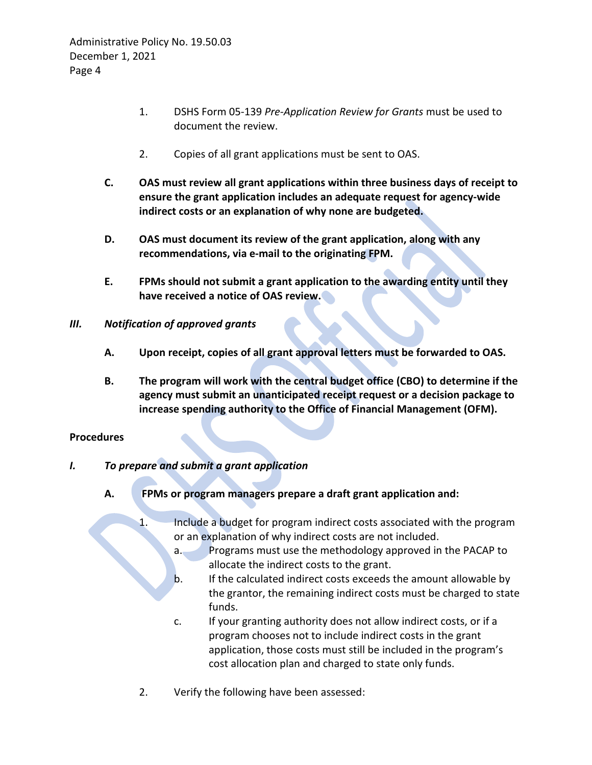- 1. DSHS Form 05-139 *Pre-Application Review for Grants* must be used to document the review.
- 2. Copies of all grant applications must be sent to OAS.
- **C. OAS must review all grant applications within three business days of receipt to ensure the grant application includes an adequate request for agency-wide indirect costs or an explanation of why none are budgeted.**
- **D. OAS must document its review of the grant application, along with any recommendations, via e-mail to the originating FPM.**
- **E. FPMs should not submit a grant application to the awarding entity until they have received a notice of OAS review.**
- *III. Notification of approved grants*
	- **A. Upon receipt, copies of all grant approval letters must be forwarded to OAS.**
	- **B. The program will work with the central budget office (CBO) to determine if the agency must submit an unanticipated receipt request or a decision package to increase spending authority to the Office of Financial Management (OFM).**

# **Procedures**

# *I. To prepare and submit a grant application*

- **A. FPMs or program managers prepare a draft grant application and:**
	- 1. Include a budget for program indirect costs associated with the program or an explanation of why indirect costs are not included.
		- a. Programs must use the methodology approved in the PACAP to allocate the indirect costs to the grant.
		- b. If the calculated indirect costs exceeds the amount allowable by the grantor, the remaining indirect costs must be charged to state funds.
		- c. If your granting authority does not allow indirect costs, or if a program chooses not to include indirect costs in the grant application, those costs must still be included in the program's cost allocation plan and charged to state only funds.
	- 2. Verify the following have been assessed: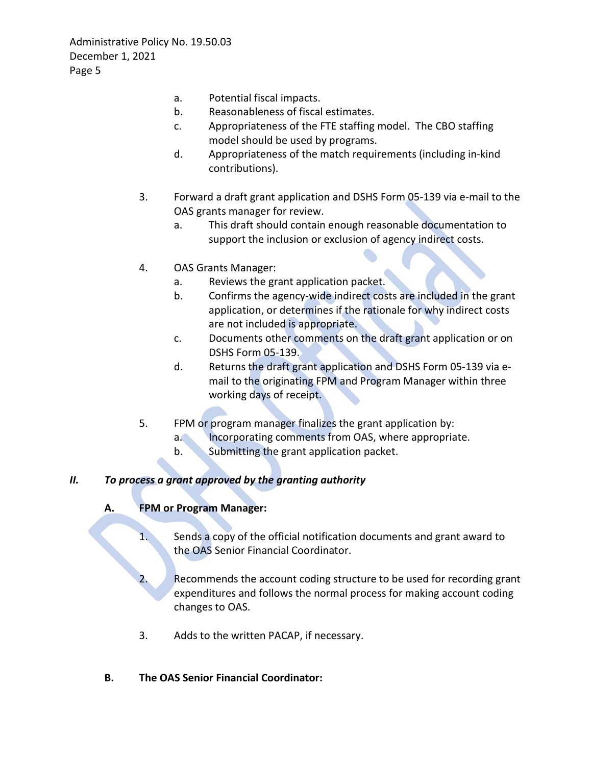- a. Potential fiscal impacts.
- b. Reasonableness of fiscal estimates.
- c. Appropriateness of the FTE staffing model. The CBO staffing model should be used by programs.
- d. Appropriateness of the match requirements (including in-kind contributions).
- 3. Forward a draft grant application and DSHS Form 05-139 via e-mail to the OAS grants manager for review.
	- a. This draft should contain enough reasonable documentation to support the inclusion or exclusion of agency indirect costs.
- 4. OAS Grants Manager:
	- a. Reviews the grant application packet.
	- b. Confirms the agency-wide indirect costs are included in the grant application, or determines if the rationale for why indirect costs are not included is appropriate.
	- c. Documents other comments on the draft grant application or on DSHS Form 05-139.
	- d. Returns the draft grant application and DSHS Form 05-139 via email to the originating FPM and Program Manager within three working days of receipt.
- 5. FPM or program manager finalizes the grant application by:
	- a. Incorporating comments from OAS, where appropriate.
	- b. Submitting the grant application packet.

# *II. To process a grant approved by the granting authority*

# **A. FPM or Program Manager:**

- 1. Sends a copy of the official notification documents and grant award to the OAS Senior Financial Coordinator.
- 2. Recommends the account coding structure to be used for recording grant expenditures and follows the normal process for making account coding changes to OAS.
- 3. Adds to the written PACAP, if necessary.
- **B. The OAS Senior Financial Coordinator:**